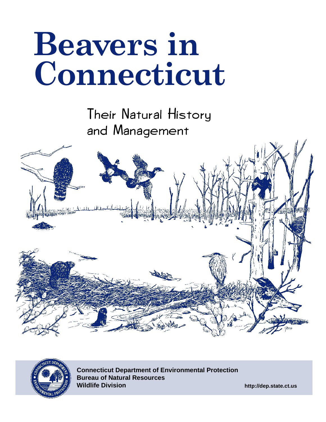# **Beavers in Connecticut**

Their Natural History and Management





**Connecticut Department of Environmental Protection Bureau of Natural Resources Wildlife Division**

**http://dep.state.ct.us**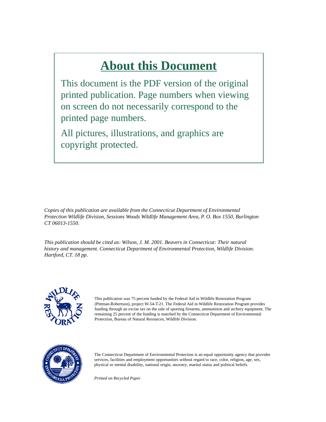# **About this Document**

This document is the PDF version of the original printed publication. Page numbers when viewing on screen do not necessarily correspond to the printed page numbers.

All pictures, illustrations, and graphics are copyright protected.

*Copies of this publication are available from the Connecticut Department of Environmental Protection Wildlife Division, Sessions Woods Wildlife Management Area, P. O. Box 1550, Burlington CT 06013-1550.*

*This publication should be cited as: Wilson, J. M. 2001. Beavers in Connecticut: Their natural history and management. Connecticut Department of Environmental Protection, Wildlife Division. Hartford, CT. 18 pp.*



This publication was 75 percent funded by the Federal Aid in Wildlife Restoration Program (Pittman-Robertson), project W-54-T-21. The Federal Aid in Wildlife Restoration Program provides funding through an excise tax on the sale of sporting firearms, ammunition and archery equipment. The remaining 25 percent of the funding is matched by the Connecticut Department of Environmental Protection, Bureau of Natural Resources, Wildlife Division*.*



The Connecticut Department of Environmental Protection is an equal opportunity agency that provides services, facilities and employment opportunities without regard to race, color, religion, age, sex, physical or mental disability, national origin, ancestry, marital status and political beliefs.

*Printed on Recycled Paper*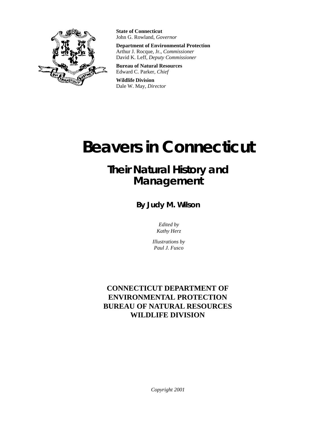

**State of Connecticut** John G. Rowland, *Governor*

**Department of Environmental Protection** Arthur J. Rocque, Jr., *Commissioner* David K. Leff, *Deputy Commissioner*

**Bureau of Natural Resources** Edward C. Parker, *Chief*

**Wildlife Division** Dale W. May, *Director*

# **Beavers in Connecticut**

# **Their Natural History and Management**

**By Judy M. Wilson**

*Edited by Kathy Herz*

*Illustrations by Paul J. Fusco*

#### **CONNECTICUT DEPARTMENT OF ENVIRONMENTAL PROTECTION BUREAU OF NATURAL RESOURCES WILDLIFE DIVISION**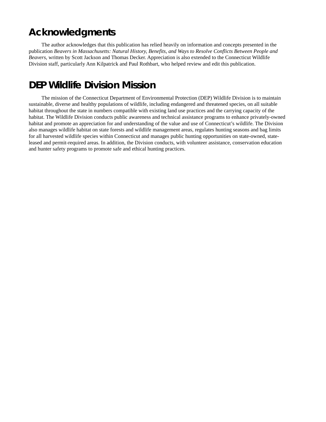#### **Acknowledgments**

The author acknowledges that this publication has relied heavily on information and concepts presented in the publication *Beavers in Massachusetts: Natural History, Benefits, and Ways to Resolve Conflicts Between People and Beavers*, written by Scott Jackson and Thomas Decker. Appreciation is also extended to the Connecticut Wildlife Division staff, particularly Ann Kilpatrick and Paul Rothbart, who helped review and edit this publication.

#### **DEP Wildlife Division Mission**

The mission of the Connecticut Department of Environmental Protection (DEP) Wildlife Division is to maintain sustainable, diverse and healthy populations of wildlife, including endangered and threatened species, on all suitable habitat throughout the state in numbers compatible with existing land use practices and the carrying capacity of the habitat. The Wildlife Division conducts public awareness and technical assistance programs to enhance privately-owned habitat and promote an appreciation for and understanding of the value and use of Connecticut's wildlife. The Division also manages wildlife habitat on state forests and wildlife management areas, regulates hunting seasons and bag limits for all harvested wildlife species within Connecticut and manages public hunting opportunities on state-owned, stateleased and permit-required areas. In addition, the Division conducts, with volunteer assistance, conservation education and hunter safety programs to promote safe and ethical hunting practices.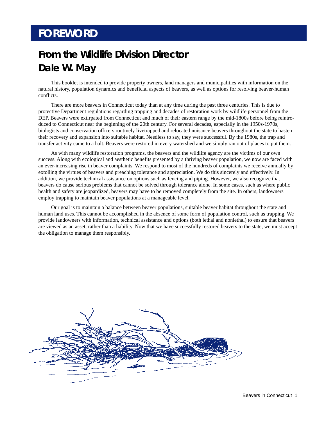# **FOREWORD**

# **From the Wildlife Division Director Dale W. May**

This booklet is intended to provide property owners, land managers and municipalities with information on the natural history, population dynamics and beneficial aspects of beavers, as well as options for resolving beaver-human conflicts.

There are more beavers in Connecticut today than at any time during the past three centuries. This is due to protective Department regulations regarding trapping and decades of restoration work by wildlife personnel from the DEP. Beavers were extirpated from Connecticut and much of their eastern range by the mid-1800s before being reintroduced to Connecticut near the beginning of the 20th century. For several decades, especially in the 1950s-1970s, biologists and conservation officers routinely livetrapped and relocated nuisance beavers throughout the state to hasten their recovery and expansion into suitable habitat. Needless to say, they were successful. By the 1980s, the trap and transfer activity came to a halt. Beavers were restored in every watershed and we simply ran out of places to put them.

As with many wildlife restoration programs, the beavers and the wildlife agency are the victims of our own success. Along with ecological and aesthetic benefits presented by a thriving beaver population, we now are faced with an ever-increasing rise in beaver complaints. We respond to most of the hundreds of complaints we receive annually by extolling the virtues of beavers and preaching tolerance and appreciation. We do this sincerely and effectively. In addition, we provide technical assistance on options such as fencing and piping. However, we also recognize that beavers do cause serious problems that cannot be solved through tolerance alone. In some cases, such as where public health and safety are jeopardized, beavers may have to be removed completely from the site. In others, landowners employ trapping to maintain beaver populations at a manageable level.

Our goal is to maintain a balance between beaver populations, suitable beaver habitat throughout the state and human land uses. This cannot be accomplished in the absence of some form of population control, such as trapping. We provide landowners with information, technical assistance and options (both lethal and nonlethal) to ensure that beavers are viewed as an asset, rather than a liability. Now that we have successfully restored beavers to the state, we must accept the obligation to manage them responsibly.

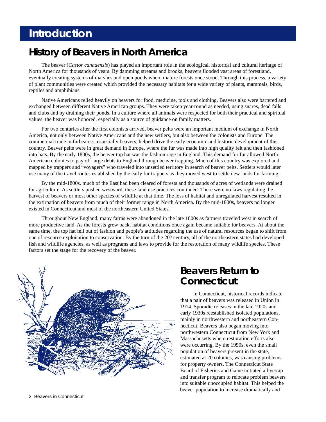# **Introduction**

#### **History of Beavers in North America**

The beaver (*Castor canadensis*) has played an important role in the ecological, historical and cultural heritage of North America for thousands of years. By damming streams and brooks, beavers flooded vast areas of forestland, eventually creating systems of marshes and open ponds where mature forests once stood. Through this process, a variety of plant communities were created which provided the necessary habitats for a wide variety of plants, mammals, birds, reptiles and amphibians.

Native Americans relied heavily on beavers for food, medicine, tools and clothing. Beavers also were bartered and exchanged between different Native American groups. They were taken year-round as needed, using snares, dead falls and clubs and by draining their ponds. In a culture where all animals were respected for both their practical and spiritual values, the beaver was honored, especially as a source of guidance on family matters.

For two centuries after the first colonists arrived, beaver pelts were an important medium of exchange in North America, not only between Native Americans and the new settlers, but also between the colonists and Europe. The commercial trade in furbearers, especially beavers, helped drive the early economic and historic development of this country. Beaver pelts were in great demand in Europe, where the fur was made into high quality felt and then fashioned into hats. By the early 1800s, the beaver top hat was the fashion rage in England. This demand for fur allowed North American colonies to pay off large debts to England through beaver trapping. Much of this country was explored and mapped by trappers and "voyagers" who traveled into unsettled territory in search of beaver pelts. Settlers would later use many of the travel routes established by the early fur trappers as they moved west to settle new lands for farming.

By the mid-1800s, much of the East had been cleared of forests and thousands of acres of wetlands were drained for agriculture. As settlers pushed westward, these land use practices continued. There were no laws regulating the harvest of beavers or most other species of wildlife at that time. The loss of habitat and unregulated harvest resulted in the extirpation of beavers from much of their former range in North America. By the mid-1800s, beavers no longer existed in Connecticut and most of the northeastern United States.

Throughout New England, many farms were abandoned in the late 1800s as farmers traveled west in search of more productive land. As the forests grew back, habitat conditions once again became suitable for beavers. At about the same time, the top hat fell out of fashion and people's attitudes regarding the use of natural resources began to shift from one of resource exploitation to conservation. By the turn of the 20<sup>th</sup> century, all of the northeastern states had developed fish and wildlife agencies, as well as programs and laws to provide for the restoration of many wildlife species. These factors set the stage for the recovery of the beaver.



#### **Beavers Return to Connecticut**

In Connecticut, historical records indicate that a pair of beavers was released in Union in 1914. Sporadic releases in the late 1920s and early 1930s reestablished isolated populations, mainly in northwestern and northeastern Connecticut. Beavers also began moving into northwestern Connecticut from New York and Massachusetts where restoration efforts also were occurring. By the 1950s, even the small population of beavers present in the state, estimated at 20 colonies, was causing problems for property owners. The Connecticut State Board of Fisheries and Game initiated a livetrap and transfer program to relocate problem beavers into suitable unoccupied habitat. This helped the beaver population to increase dramatically and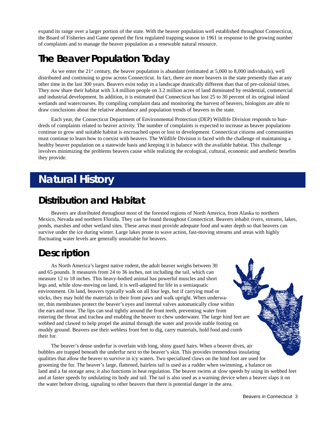expand its range over a larger portion of the state. With the beaver population well established throughout Connecticut, the Board of Fisheries and Game opened the first regulated trapping season in 1961 in response to the growing number of complaints and to manage the beaver population as a renewable natural resource.

#### **The Beaver Population Today**

As we enter the  $21<sup>st</sup>$  century, the beaver population is abundant (estimated at 5,000 to 8,000 individuals), well distributed and continuing to grow across Connecticut. In fact, there are more beavers in the state presently than at any other time in the last 300 years. Beavers exist today in a landscape drastically different than that of pre-colonial times. They now share their habitat with 3.4 million people on 3.2 million acres of land dominated by residential, commercial and industrial development. In addition, it is estimated that Connecticut has lost 25 to 30 percent of its original inland wetlands and watercourses. By compiling complaint data and monitoring the harvest of beavers, biologists are able to draw conclusions about the relative abundance and population trends of beavers in the state.

Each year, the Connecticut Department of Environmental Protection (DEP) Wildlife Division responds to hundreds of complaints related to beaver activity. The number of complaints is expected to increase as beaver populations continue to grow and suitable habitat is encroached upon or lost to development. Connecticut citizens and communities must continue to learn how to coexist with beavers. The Wildlife Division is faced with the challenge of maintaining a healthy beaver population on a statewide basis and keeping it in balance with the available habitat. This challenge involves minimizing the problems beavers cause while realizing the ecological, cultural, economic and aesthetic benefits they provide.

# **Natural History**

#### **Distribution and Habitat**

Beavers are distributed throughout most of the forested regions of North America, from Alaska to northern Mexico, Nevada and northern Florida. They can be found throughout Connecticut. Beavers inhabit rivers, streams, lakes, ponds, marshes and other wetland sites. These areas must provide adequate food and water depth so that beavers can survive under the ice during winter. Large lakes prone to wave action, fast-moving streams and areas with highly fluctuating water levels are generally unsuitable for beavers.

#### **Description**

As North America's largest native rodent, the adult beaver weighs between 30 and 65 pounds. It measures from 24 to 36 inches, not including the tail, which can measure 12 to 18 inches. This heavy-bodied animal has powerful muscles and short legs and, while slow-moving on land, it is well-adapted for life in a semiaquatic environment. On land, beavers typically walk on all four legs, but if carrying mud or sticks, they may hold the materials in their front paws and walk upright. When underwater, thin membranes protect the beaver's eyes and internal valves automatically close within the ears and nose. The lips can seal tightly around the front teeth, preventing water from entering the throat and trachea and enabling the beaver to chew underwater. The large hind feet are webbed and clawed to help propel the animal through the water and provide stable footing on muddy ground. Beavers use their webless front feet to dig, carry materials, hold food and comb their fur.

The beaver's dense underfur is overlain with long, shiny guard hairs. When a beaver dives, air bubbles are trapped beneath the underfur next to the beaver's skin. This provides tremendous insulating qualities that allow the beaver to survive in icy waters. Two specialized claws on the hind foot are used for grooming the fur. The beaver's large, flattened, hairless tail is used as a rudder when swimming, a balance on land and a fat storage area; it also functions in heat regulation. The beaver swims at slow speeds by using its webbed feet and at faster speeds by undulating its body and tail. The tail is also used as a warning device when a beaver slaps it on the water before diving, signaling to other beavers that there is potential danger in the area.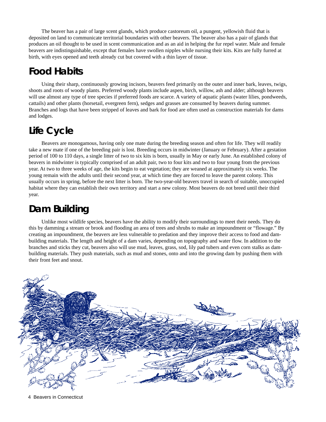The beaver has a pair of large scent glands, which produce castoreum oil, a pungent, yellowish fluid that is deposited on land to communicate territorial boundaries with other beavers. The beaver also has a pair of glands that produces an oil thought to be used in scent communication and as an aid in helping the fur repel water. Male and female beavers are indistinguishable, except that females have swollen nipples while nursing their kits. Kits are fully furred at birth, with eyes opened and teeth already cut but covered with a thin layer of tissue.

#### **Food Habits**

Using their sharp, continuously growing incisors, beavers feed primarily on the outer and inner bark, leaves, twigs, shoots and roots of woody plants. Preferred woody plants include aspen, birch, willow, ash and alder; although beavers will use almost any type of tree species if preferred foods are scarce. A variety of aquatic plants (water lilies, pondweeds, cattails) and other plants (horsetail, evergreen fern), sedges and grasses are consumed by beavers during summer. Branches and logs that have been stripped of leaves and bark for food are often used as construction materials for dams and lodges.

# **Life Cycle**

Beavers are monogamous, having only one mate during the breeding season and often for life. They will readily take a new mate if one of the breeding pair is lost. Breeding occurs in midwinter (January or February). After a gestation period of 100 to 110 days, a single litter of two to six kits is born, usually in May or early June. An established colony of beavers in midwinter is typically comprised of an adult pair, two to four kits and two to four young from the previous year. At two to three weeks of age, the kits begin to eat vegetation; they are weaned at approximately six weeks. The young remain with the adults until their second year, at which time they are forced to leave the parent colony. This usually occurs in spring, before the next litter is born. The two-year-old beavers travel in search of suitable, unoccupied habitat where they can establish their own territory and start a new colony. Most beavers do not breed until their third year.

#### **Dam Building**

Unlike most wildlife species, beavers have the ability to modify their surroundings to meet their needs. They do this by damming a stream or brook and flooding an area of trees and shrubs to make an impoundment or "flowage." By creating an impoundment, the beavers are less vulnerable to predation and they improve their access to food and dambuilding materials. The length and height of a dam varies, depending on topography and water flow. In addition to the branches and sticks they cut, beavers also will use mud, leaves, grass, sod, lily pad tubers and even corn stalks as dambuilding materials. They push materials, such as mud and stones, onto and into the growing dam by pushing them with their front feet and snout.



4 Beavers in Connecticut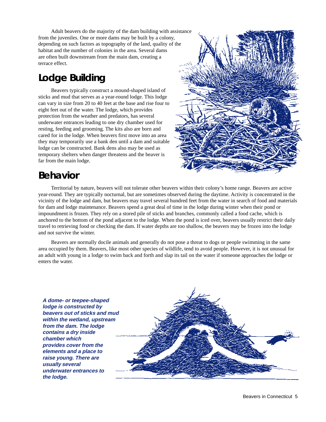Adult beavers do the majority of the dam building with assistance from the juveniles. One or more dams may be built by a colony, depending on such factors as topography of the land, quality of the habitat and the number of colonies in the area. Several dams are often built downstream from the main dam, creating a terrace effect.

### **Lodge Building**

Beavers typically construct a mound-shaped island of sticks and mud that serves as a year-round lodge. This lodge can vary in size from 20 to 40 feet at the base and rise four to eight feet out of the water. The lodge, which provides protection from the weather and predators, has several underwater entrances leading to one dry chamber used for resting, feeding and grooming. The kits also are born and cared for in the lodge. When beavers first move into an area they may temporarily use a bank den until a dam and suitable lodge can be constructed. Bank dens also may be used as temporary shelters when danger threatens and the beaver is far from the main lodge.



Territorial by nature, beavers will not tolerate other beavers within their colony's home range. Beavers are active year-round. They are typically nocturnal, but are sometimes observed during the daytime. Activity is concentrated in the vicinity of the lodge and dam, but beavers may travel several hundred feet from the water in search of food and materials for dam and lodge maintenance. Beavers spend a great deal of time in the lodge during winter when their pond or impoundment is frozen. They rely on a stored pile of sticks and branches, commonly called a food cache, which is anchored to the bottom of the pond adjacent to the lodge. When the pond is iced over, beavers usually restrict their daily travel to retrieving food or checking the dam. If water depths are too shallow, the beavers may be frozen into the lodge and not survive the winter.

Beavers are normally docile animals and generally do not pose a threat to dogs or people swimming in the same area occupied by them. Beavers, like most other species of wildlife, tend to avoid people. However, it is not unusual for an adult with young in a lodge to swim back and forth and slap its tail on the water if someone approaches the lodge or enters the water.

**A dome- or teepee-shaped lodge is constructed by beavers out of sticks and mud within the wetland, upstream from the dam. The lodge contains a dry inside chamber which provides cover from the elements and a place to raise young. There are usually several underwater entrances to the lodge.**

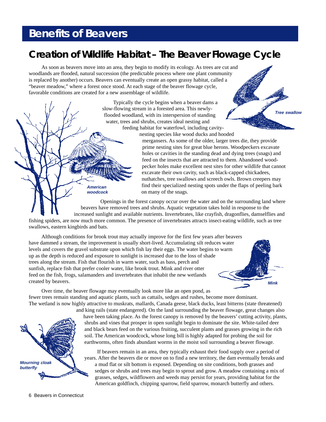# **Benefits of Beavers**

**American woodcock**

#### **Creation of Wildlife Habitat – The Beaver Flowage Cycle**

As soon as beavers move into an area, they begin to modify its ecology. As trees are cut and woodlands are flooded, natural succession (the predictable process where one plant community is replaced by another) occurs. Beavers can eventually create an open grassy habitat, called a "beaver meadow," where a forest once stood. At each stage of the beaver flowage cycle, favorable conditions are created for a new assemblage of wildlife.

> Typically the cycle begins when a beaver dams a slow-flowing stream in a forested area. This newlyflooded woodland, with its interspersion of standing water, trees and shrubs, creates ideal nesting and feeding habitat for waterfowl, including cavity-



nesting species like wood ducks and hooded

mergansers. As some of the older, larger trees die, they provide prime nesting sites for great blue herons. Woodpeckers excavate holes or cavities in the standing dead and dying trees (snags) and feed on the insects that are attracted to them. Abandoned woodpecker holes make excellent nest sites for other wildlife that cannot excavate their own cavity, such as black-capped chickadees, nuthatches, tree swallows and screech owls. Brown creepers may find their specialized nesting spots under the flaps of peeling bark on many of the snags.

Openings in the forest canopy occur over the water and on the surrounding land where beavers have removed trees and shrubs. Aquatic vegetation takes hold in response to the increased sunlight and available nutrients. Invertebrates, like crayfish, dragonflies, damselflies and fishing spiders, are now much more common. The presence of invertebrates attracts insect-eating wildlife, such as tree swallows, eastern kingbirds and bats.

Although conditions for brook trout may actually improve for the first few years after beavers have dammed a stream, the improvement is usually short-lived. Accumulating silt reduces water levels and covers the gravel substrate upon which fish lay their eggs. The water begins to warm up as the depth is reduced and exposure to sunlight is increased due to the loss of shade trees along the stream. Fish that flourish in warm water, such as bass, perch and sunfish, replace fish that prefer cooler water, like brook trout. Mink and river otter feed on the fish, frogs, salamanders and invertebrates that inhabit the new wetlands created by beavers.



Over time, the beaver flowage may eventually look more like an open pond, as fewer trees remain standing and aquatic plants, such as cattails, sedges and rushes, become more dominant. The wetland is now highly attractive to muskrats, mallards, Canada geese, black ducks, least bitterns (state threatened)



and king rails (state endangered). On the land surrounding the beaver flowage, great changes also have been taking place. As the forest canopy is removed by the beavers' cutting activity, plants, shrubs and vines that prosper in open sunlight begin to dominate the site. White-tailed deer and black bears feed on the various fruiting, succulent plants and grasses growing in the rich soil. The American woodcock, whose long bill is highly adapted for probing the soil for earthworms, often finds abundant worms in the moist soil surrounding a beaver flowage.

If beavers remain in an area, they typically exhaust their food supply over a period of years. After the beavers die or move on to find a new territory, the dam eventually breaks and a mud flat or silt bottom is exposed. Depending on site conditions, both grasses and sedges or shrubs and trees may begin to sprout and grow. A meadow containing a mix of grasses, sedges, wildflowers and weeds may persist for years, providing habitat for the American goldfinch, chipping sparrow, field sparrow, monarch butterfly and others.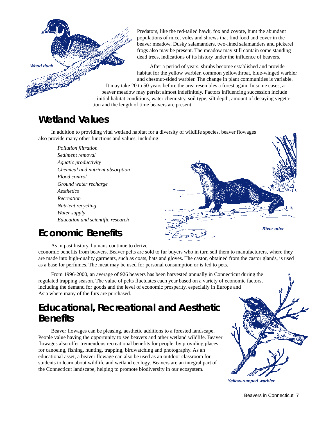Predators, like the red-tailed hawk, fox and coyote, hunt the abundant populations of mice, voles and shrews that find food and cover in the beaver meadow. Dusky salamanders, two-lined salamanders and pickerel frogs also may be present. The meadow may still contain some standing dead trees, indications of its history under the influence of beavers.

After a period of years, shrubs become established and provide habitat for the yellow warbler, common yellowthroat, blue-winged warbler and chestnut-sided warbler. The change in plant communities is variable. It may take 20 to 50 years before the area resembles a forest again. In some cases, a beaver meadow may persist almost indefinitely. Factors influencing succession include initial habitat conditions, water chemistry, soil type, silt depth, amount of decaying vegetation and the length of time beavers are present.

#### **Wetland Values**

**Wood duck**

In addition to providing vital wetland habitat for a diversity of wildlife species, beaver flowages also provide many other functions and values, including:

*Pollution filtration Sediment removal Aquatic productivity Chemical and nutrient absorption Flood control Ground water recharge Aesthetics Recreation Nutrient recycling Water supply Education and scientific research*



#### **Economic Benefits**

As in past history, humans continue to derive

economic benefits from beavers. Beaver pelts are sold to fur buyers who in turn sell them to manufacturers, where they are made into high-quality garments, such as coats, hats and gloves. The castor, obtained from the castor glands, is used as a base for perfumes. The meat may be used for personal consumption or is fed to pets.

From 1996-2000, an average of 926 beavers has been harvested annually in Connecticut during the regulated trapping season. The value of pelts fluctuates each year based on a variety of economic factors, including the demand for goods and the level of economic prosperity, especially in Europe and Asia where many of the furs are purchased.

#### **Educational, Recreational and Aesthetic Benefits**

Beaver flowages can be pleasing, aesthetic additions to a forested landscape. People value having the opportunity to see beavers and other wetland wildlife. Beaver flowages also offer tremendous recreational benefits for people, by providing places for canoeing, fishing, hunting, trapping, birdwatching and photography. As an educational asset, a beaver flowage can also be used as an outdoor classroom for students to learn about wildlife and wetland ecology. Beavers are an integral part of the Connecticut landscape, helping to promote biodiversity in our ecosystem.



**Yellow-rumped warbler**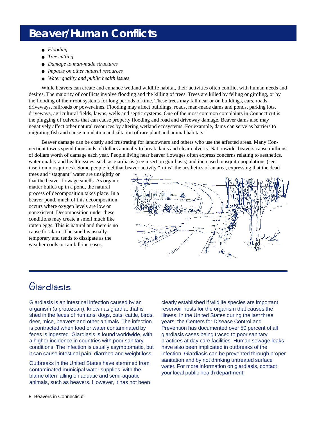# **Beaver/Human Conflicts**

- *Flooding*
- *Tree cutting*
- *Damage to man-made structures*
- *Impacts on other natural resources*
- *Water quality and public health issues*

While beavers can create and enhance wetland wildlife habitat, their activities often conflict with human needs and desires. The majority of conflicts involve flooding and the killing of trees. Trees are killed by felling or girdling, or by the flooding of their root systems for long periods of time. These trees may fall near or on buildings, cars, roads, driveways, railroads or power-lines. Flooding may affect buildings, roads, man-made dams and ponds, parking lots, driveways, agricultural fields, lawns, wells and septic systems. One of the most common complaints in Connecticut is the plugging of culverts that can cause property flooding and road and driveway damage. Beaver dams also may negatively affect other natural resources by altering wetland ecosystems. For example, dams can serve as barriers to migrating fish and cause inundation and siltation of rare plant and animal habitats.

Beaver damage can be costly and frustrating for landowners and others who use the affected areas. Many Connecticut towns spend thousands of dollars annually to break dams and clear culverts. Nationwide, beavers cause millions of dollars worth of damage each year. People living near beaver flowages often express concerns relating to aesthetics, water quality and health issues, such as giardiasis (see insert on giardiasis) and increased mosquito populations (see insert on mosquitoes). Some people feel that beaver activity "ruins" the aesthetics of an area, expressing that the dead

trees and "stagnant" water are unsightly or that the beaver flowage smells. As organic matter builds up in a pond, the natural process of decomposition takes place. In a beaver pond, much of this decomposition occurs where oxygen levels are low or nonexistent. Decomposition under these conditions may create a smell much like rotten eggs. This is natural and there is no cause for alarm. The smell is usually temporary and tends to dissipate as the weather cools or rainfall increases.



#### Giardiasis

Giardiasis is an intestinal infection caused by an organism (a protozoan), known as giardia, that is shed in the feces of humans, dogs, cats, cattle, birds, deer, mice, beavers and other animals. The infection is contracted when food or water contaminated by feces is ingested. Giardiasis is found worldwide, with a higher incidence in countries with poor sanitary conditions. The infection is usually asymptomatic, but it can cause intestinal pain, diarrhea and weight loss.

Outbreaks in the United States have stemmed from contaminated municipal water supplies, with the blame often falling on aquatic and semi-aquatic animals, such as beavers. However, it has not been

clearly established if wildlife species are important reservoir hosts for the organism that causes the illness. In the United States during the last three years, the Centers for Disease Control and Prevention has documented over 50 percent of all giardiasis cases being traced to poor sanitary practices at day care facilities. Human sewage leaks have also been implicated in outbreaks of the infection. Giardiasis can be prevented through proper sanitation and by not drinking untreated surface water. For more information on giardiasis, contact your local public health department.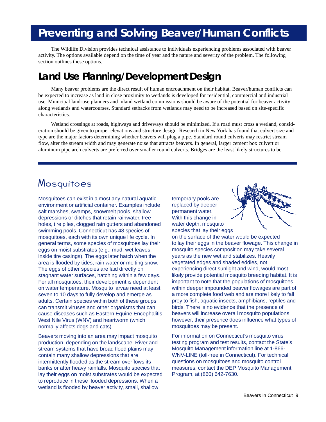# **Preventing and Solving Beaver/Human Conflicts**

The Wildlife Division provides technical assistance to individuals experiencing problems associated with beaver activity. The options available depend on the time of year and the nature and severity of the problem. The following section outlines these options.

#### **Land Use Planning/Development Design**

Many beaver problems are the direct result of human encroachment on their habitat. Beaver/human conflicts can be expected to increase as land in close proximity to wetlands is developed for residential, commercial and industrial use. Municipal land-use planners and inland wetland commissions should be aware of the potential for beaver activity along wetlands and watercourses. Standard setbacks from wetlands may need to be increased based on site-specific characteristics.

Wetland crossings at roads, highways and driveways should be minimized. If a road must cross a wetland, consideration should be given to proper elevations and structure design. Research in New York has found that culvert size and type are the major factors determining whether beavers will plug a pipe. Standard round culverts may restrict stream flow, alter the stream width and may generate noise that attracts beavers. In general, larger cement box culvert or aluminum pipe arch culverts are preferred over smaller round culverts. Bridges are the least likely structures to be

#### **Mosquitoes**

Mosquitoes can exist in almost any natural aquatic environment or artificial container. Examples include salt marshes, swamps, snowmelt pools, shallow depressions or ditches that retain rainwater, tree holes, tire piles, clogged rain gutters and abandoned swimming pools. Connecticut has 48 species of mosquitoes, each with its own unique life cycle. In general terms, some species of mosquitoes lay their eggs on moist substrates (e.g., mud, wet leaves, inside tire casings). The eggs later hatch when the area is flooded by tides, rain water or melting snow. The eggs of other species are laid directly on stagnant water surfaces, hatching within a few days. For all mosquitoes, their development is dependent on water temperature. Mosquito larvae need at least seven to 10 days to fully develop and emerge as adults. Certain species within both of these groups can transmit viruses and other organisms that can cause diseases such as Eastern Equine Encephalitis, West Nile Virus (WNV) and heartworm (which normally affects dogs and cats).

Beavers moving into an area may impact mosquito production, depending on the landscape. River and stream systems that have broad flood plains may contain many shallow depressions that are intermittently flooded as the stream overflows its banks or after heavy rainfalls. Mosquito species that lay their eggs on moist substrates would be expected to reproduce in these flooded depressions. When a wetland is flooded by beaver activity, small, shallow

temporary pools are replaced by deeper permanent water. With this change in water depth, mosquito species that lay their eggs



on the surface of the water would be expected to lay their eggs in the beaver flowage. This change in mosquito species composition may take several years as the new wetland stabilizes. Heavily vegetated edges and shaded eddies, not experiencing direct sunlight and wind, would most likely provide potential mosquito breeding habitat. It is important to note that the populations of mosquitoes within deeper impounded beaver flowages are part of a more complete food web and are more likely to fall prey to fish, aquatic insects, amphibians, reptiles and birds. There is no evidence that the presence of beavers will increase overall mosquito populations; however, their presence does influence what types of mosquitoes may be present.

For information on Connecticut's mosquito virus testing program and test results, contact the State's Mosquito Management information line at 1-866- WNV-LINE (toll-free in Connecticut). For technical questions on mosquitoes and mosquito control measures, contact the DEP Mosquito Management Program, at (860) 642-7630.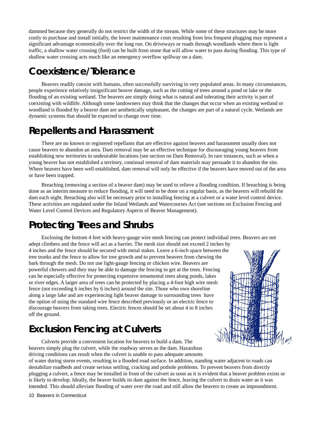dammed because they generally do not restrict the width of the stream. While some of these structures may be more costly to purchase and install initially, the lower maintenance costs resulting from less frequent plugging may represent a significant advantage economically over the long run. On driveways or roads through woodlands where there is light traffic, a shallow water crossing (ford) can be built from stone that will allow water to pass during flooding. This type of shallow water crossing acts much like an emergency overflow spillway on a dam.

#### **Coexistence/Tolerance**

Beavers readily coexist with humans, often successfully surviving in very populated areas. In many circumstances, people experience relatively insignificant beaver damage, such as the cutting of trees around a pond or lake or the flooding of an existing wetland. The beavers are simply doing what is natural and tolerating their activity is part of coexisting with wildlife. Although some landowners may think that the changes that occur when an existing wetland or woodland is flooded by a beaver dam are aesthetically unpleasant, the changes are part of a natural cycle. Wetlands are dynamic systems that should be expected to change over time.

#### **Repellents and Harassment**

There are no known or registered repellants that are effective against beavers and harassment usually does not cause beavers to abandon an area. Dam removal may be an effective technique for discouraging young beavers from establishing new territories in undesirable locations (see section on Dam Removal). In rare instances, such as when a young beaver has not established a territory, continual removal of dam materials may persuade it to abandon the site. Where beavers have been well established, dam removal will only be effective if the beavers have moved out of the area or have been trapped.

Breaching (removing a section of a beaver dam) may be used to relieve a flooding condition. If breaching is being done as an interim measure to reduce flooding, it will need to be done on a regular basis, as the beavers will rebuild the dam each night. Breaching also will be necessary prior to installing fencing at a culvert or a water level control device. These activities are regulated under the Inland Wetlands and Watercourses Act (see sections on Exclusion Fencing and Water Level Control Devices and Regulatory Aspects of Beaver Management).

#### **Protecting Trees and Shrubs**

Enclosing the bottom 4 feet with heavy-gauge wire mesh fencing can protect individual trees. Beavers are not adept climbers and the fence will act as a barrier. The mesh size should not exceed 2 inches by

4 inches and the fence should be secured with metal stakes. Leave a 6-inch space between the tree trunks and the fence to allow for tree growth and to prevent beavers from chewing the bark through the mesh. Do not use light-gauge fencing or chicken wire. Beavers are powerful chewers and they may be able to damage the fencing to get at the trees. Fencing can be especially effective for protecting expensive ornamental trees along ponds, lakes or river edges. A larger area of trees can be protected by placing a 4-foot high wire mesh fence (not exceeding 6 inches by 6 inches) around the site. Those who own shoreline along a large lake and are experiencing light beaver damage to surrounding trees have the option of using the standard wire fence described previously or an electric fence to discourage beavers from taking trees. Electric fences should be set about 4 to 8 inches off the ground.

#### **Exclusion Fencing at Culverts**



Culverts provide a convenient location for beavers to build a dam. The beavers simply plug the culvert, while the roadway serves as the dam. Hazardous driving conditions can result when the culvert is unable to pass adequate amounts

of water during storm events, resulting in a flooded road surface. In addition, standing water adjacent to roads can destabilize roadbeds and create serious settling, cracking and pothole problems. To prevent beavers from directly plugging a culvert, a fence may be installed in front of the culvert as soon as it is evident that a beaver problem exists or is likely to develop. Ideally, the beaver builds its dam against the fence, leaving the culvert to drain water as it was intended. This should alleviate flooding of water over the road and still allow the beavers to create an impoundment.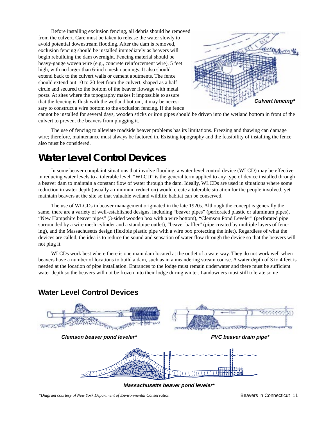Before installing exclusion fencing, all debris should be removed from the culvert. Care must be taken to release the water slowly to avoid potential downstream flooding. After the dam is removed, exclusion fencing should be installed immediately as beavers will begin rebuilding the dam overnight. Fencing material should be heavy-gauge woven wire (e.g., concrete reinforcement wire), 5 feet high, with no larger than 6-inch mesh openings. It also should extend back to the culvert walls or cement abutments. The fence should extend out 10 to 20 feet from the culvert, shaped as a half circle and secured to the bottom of the beaver flowage with metal posts. At sites where the topography makes it impossible to assure that the fencing is flush with the wetland bottom, it may be necessary to construct a wire bottom to the exclusion fencing. If the fence



cannot be installed for several days, wooden sticks or iron pipes should be driven into the wetland bottom in front of the culvert to prevent the beavers from plugging it.

The use of fencing to alleviate roadside beaver problems has its limitations. Freezing and thawing can damage wire; therefore, maintenance must always be factored in. Existing topography and the feasibility of installing the fence also must be considered.

#### **Water Level Control Devices**

In some beaver complaint situations that involve flooding, a water level control device (WLCD) may be effective in reducing water levels to a tolerable level. "WLCD" is the general term applied to any type of device installed through a beaver dam to maintain a constant flow of water through the dam. Ideally, WLCDs are used in situations where some reduction in water depth (usually a minimum reduction) would create a tolerable situation for the people involved, yet maintain beavers at the site so that valuable wetland wildlife habitat can be conserved.

The use of WLCDs in beaver management originated in the late 1920s. Although the concept is generally the same, there are a variety of well-established designs, including "beaver pipes" (perforated plastic or aluminum pipes), "New Hampshire beaver pipes" (3-sided wooden box with a wire bottom), "Clemson Pond Leveler" (perforated pipe surrounded by a wire mesh cylinder and a standpipe outlet), "beaver baffler" (pipe created by multiple layers of fencing), and the Massachusetts design (flexible plastic pipe with a wire box protecting the inlet). Regardless of what the devices are called, the idea is to reduce the sound and sensation of water flow through the device so that the beavers will not plug it.

WLCDs work best where there is one main dam located at the outlet of a waterway. They do not work well when beavers have a number of locations to build a dam, such as in a meandering stream course. A water depth of 3 to 4 feet is needed at the location of pipe installation. Entrances to the lodge must remain underwater and there must be sufficient water depth so the beavers will not be frozen into their lodge during winter. Landowners must still tolerate some



**Massachusetts beaver pond leveler\***

**Water Level Control Devices**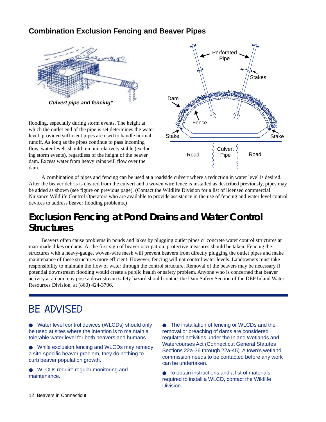#### **Combination Exclusion Fencing and Beaver Pipes**



flooding, especially during storm events. The height at which the outlet end of the pipe is set determines the water level, provided sufficient pipes are used to handle normal runoff. As long as the pipes continue to pass incoming flow, water levels should remain relatively stable (excluding storm events), regardless of the height of the beaver dam. Excess water from heavy rains will flow over the dam.



A combination of pipes and fencing can be used at a roadside culvert where a reduction in water level is desired. After the beaver debris is cleared from the culvert and a woven wire fence is installed as described previously, pipes may be added as shown (see figure on previous page). (Contact the Wildlife Division for a list of licensed commercial Nuisance Wildlife Control Operators who are available to provide assistance in the use of fencing and water level control devices to address beaver flooding problems.)

#### **Exclusion Fencing at Pond Drains and Water Control Structures**

Beavers often cause problems in ponds and lakes by plugging outlet pipes or concrete water control structures at man-made dikes or dams. At the first sign of beaver occupation, protective measures should be taken. Fencing the structures with a heavy-gauge, woven-wire mesh will prevent beavers from directly plugging the outlet pipes and make maintenance of these structures more efficient. However, fencing will not control water levels. Landowners must take responsibility to maintain the flow of water through the control structure. Removal of the beavers may be necessary if potential downstream flooding would create a public health or safety problem. Anyone who is concerned that beaver activity at a dam may pose a downstream safety hazard should contact the Dam Safety Section of the DEP Inland Water Resources Division, at (860) 424-3706.

#### BE ADVISED

● Water level control devices (WLCDs) should only be used at sites where the intention is to maintain a tolerable water level for both beavers and humans.

● While exclusion fencing and WLCDs may remedy a site-specific beaver problem, they do nothing to curb beaver population growth.

● WLCDs require regular monitoring and maintenance.

● The installation of fencing or WLCDs and the removal or breaching of dams are considered regulated activities under the Inland Wetlands and Watercourses Act (Connecticut General Statutes Sections 22a-36 through 22a-45). A town's wetland commission needs to be contacted before any work can be undertaken.

● To obtain instructions and a list of materials required to install a WLCD, contact the Wildlife Division.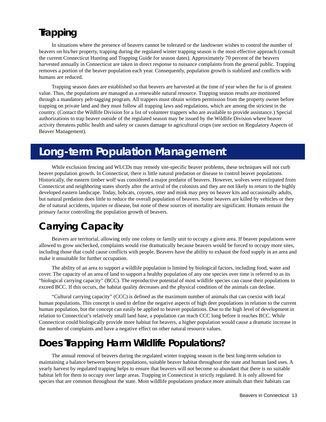#### **Trapping**

In situations where the presence of beavers cannot be tolerated or the landowner wishes to control the number of beavers on his/her property, trapping during the regulated winter trapping season is the most effective approach (consult the current Connecticut Hunting and Trapping Guide for season dates). Approximately 70 percent of the beavers harvested annually in Connecticut are taken in direct response to nuisance complaints from the general public. Trapping removes a portion of the beaver population each year. Consequently, population growth is stablized and conflicts with humans are reduced.

Trapping season dates are established so that beavers are harvested at the time of year when the fur is of greatest value. Thus, the populations are managed as a renewable natural resource. Trapping season results are monitored through a mandatory pelt-tagging program. All trappers must obtain written permission from the property owner before trapping on private land and they must follow all trapping laws and regulations, which are among the strictest in the country. (Contact the Wildlife Division for a list of volunteer trappers who are available to provide assistance.) Special authorizations to trap beaver outside of the regulated season may be issued by the Wildlife Division where beaver activity threatens public health and safety or causes damage to agricultural crops (see section on Regulatory Aspects of Beaver Management).

# **Long-term Population Management**

While exclusion fencing and WLCDs may remedy site-specific beaver problems, these techniques will not curb beaver population growth. In Connecticut, there is little natural predation or disease to control beaver populations. Historically, the eastern timber wolf was considered a major predator of beavers. However, wolves were extirpated from Connecticut and neighboring states shortly after the arrival of the colonists and they are not likely to return to the highly developed eastern landscape. Today, bobcats, coyotes, otter and mink may prey on beaver kits and occasionally adults, but natural predation does little to reduce the overall population of beavers. Some beavers are killed by vehicles or they die of natural accidents, injuries or disease, but none of these sources of mortality are significant. Humans remain the primary factor controlling the population growth of beavers.

# **Carrying Capacity**

Beavers are territorial, allowing only one colony or family unit to occupy a given area. If beaver populations were allowed to grow unchecked, complaints would rise dramatically because beavers would be forced to occupy more sites, including those that could cause conflicts with people. Beavers have the ability to exhaust the food supply in an area and make it unsuitable for further occupation.

The ability of an area to support a wildlife population is limited by biological factors, including food, water and cover. The capacity of an area of land to support a healthy population of any one species over time is referred to as its "biological carrying capacity" (BCC). The reproductive potential of most wildlife species can cause their populations to exceed BCC. If this occurs, the habitat quality decreases and the physical condition of the animals can decline.

"Cultural carrying capacity" (CCC) is defined as the maximum number of animals that can coexist with local human populations. This concept is used to define the negative aspects of high deer populations in relation to the current human population, but the concept can easily be applied to beaver populations. Due to the high level of development in relation to Connecticut's relatively small land base, a population can reach CCC long before it reaches BCC. While Connecticut could biologically provide more habitat for beavers, a higher population would cause a dramatic increase in the number of complaints and have a negative effect on other natural resource values.

#### **Does Trapping Harm Wildlife Populations?**

The annual removal of beavers during the regulated winter trapping season is the best long-term solution to maintaining a balance between beaver populations, suitable beaver habitat throughout the state and human land uses. A yearly harvest by regulated trapping helps to ensure that beavers will not become so abundant that there is no suitable habitat left for them to occupy over large areas. Trapping in Connecticut is strictly regulated. It is only allowed for species that are common throughout the state. Most wildlife populations produce more animals than their habitats can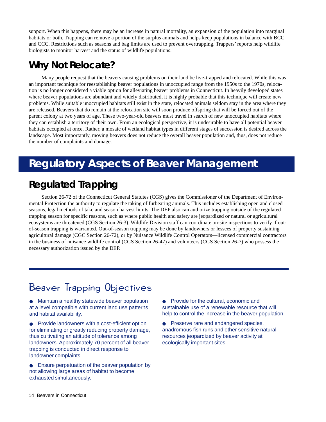support. When this happens, there may be an increase in natural mortality, an expansion of the population into marginal habitats or both. Trapping can remove a portion of the surplus animals and helps keep populations in balance with BCC and CCC. Restrictions such as seasons and bag limits are used to prevent overtrapping. Trappers' reports help wildlife biologists to monitor harvest and the status of wildlife populations.

#### **Why Not Relocate?**

Many people request that the beavers causing problems on their land be live-trapped and relocated. While this was an important technique for reestablishing beaver populations in unoccupied range from the 1950s to the 1970s, relocation is no longer considered a viable option for alleviating beaver problems in Connecticut. In heavily developed states where beaver populations are abundant and widely distributed, it is highly probable that this technique will create new problems. While suitable unoccupied habitats still exist in the state, relocated animals seldom stay in the area where they are released. Beavers that do remain at the relocation site will soon produce offspring that will be forced out of the parent colony at two years of age. These two-year-old beavers must travel in search of new unoccupied habitats where they can establish a territory of their own. From an ecological perspective, it is undesirable to have all potential beaver habitats occupied at once. Rather, a mosaic of wetland habitat types in different stages of succession is desired across the landscape. Most importantly, moving beavers does not reduce the overall beaver population and, thus, does not reduce the number of complaints and damage.

# **Regulatory Aspects of Beaver Management**

#### **Regulated Trapping**

Section 26-72 of the Connecticut General Statutes (CGS) gives the Commissioner of the Department of Environmental Protection the authority to regulate the taking of furbearing animals. This includes establishing open and closed seasons, legal methods of take and season harvest limits. The DEP also can authorize trapping outside of the regulated trapping season for specific reasons, such as where public health and safety are jeopardized or natural or agricultural ecosystems are threatened (CGS Section 26-3). Wildlife Division staff can coordinate on-site inspections to verify if outof-season trapping is warranted. Out-of-season trapping may be done by landowners or lessees of property sustaining agricultural damage (CGC Section 26-72), or by Nuisance Wildlife Control Operators—licensed commercial contractors in the business of nuisance wildlife control (CGS Section 26-47) and volunteers (CGS Section 26-7) who possess the necessary authorization issued by the DEP.

# Beaver Trapping Objectives

● Maintain a healthy statewide beaver population at a level compatible with current land use patterns and habitat availability.

- Provide landowners with a cost-efficient option for eliminating or greatly reducing property damage, thus cultivating an attitude of tolerance among landowners. Approximately 70 percent of all beaver trapping is conducted in direct response to landowner complaints.
- Ensure perpetuation of the beaver population by not allowing large areas of habitat to become exhausted simultaneously.

● Provide for the cultural, economic and sustainable use of a renewable resource that will help to control the increase in the beaver population.

● Preserve rare and endangered species, anadromous fish runs and other sensitive natural resources jeopardized by beaver activity at ecologically important sites.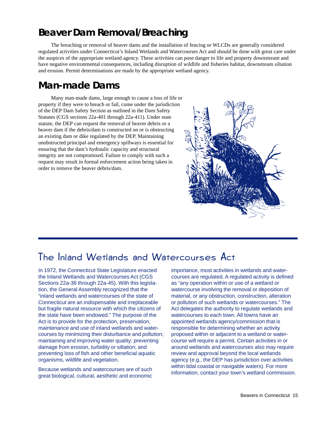#### **Beaver Dam Removal/Breaching**

The breaching or removal of beaver dams and the installation of fencing or WLCDs are generally considered regulated activities under Connecticut's Inland Wetlands and Watercourses Act and should be done with great care under the auspices of the appropriate wetland agency. These activities can pose danger to life and property downstream and have negative environmental consequences, including disruption of wildlife and fisheries habitat, downstream siltation and erosion. Permit determinations are made by the appropriate wetland agency.

#### **Man-made Dams**

Many man-made dams, large enough to cause a loss of life or property if they were to breach or fail, come under the jurisdiction of the DEP Dam Safety Section as outlined in the Dam Safety Statutes (CGS sections 22a-401 through 22a-411). Under state statute, the DEP can request the removal of beaver debris or a beaver dam if the debris/dam is constructed on or is obstructing an existing dam or dike regulated by the DEP. Maintaining unobstructed principal and emergency spillways is essential for ensuring that the dam's hydraulic capacity and structural integrity are not compromised. Failure to comply with such a request may result in formal enforcement action being taken in order to remove the beaver debris/dam.



#### The Inland Wetlands and Watercourses Act

In 1972, the Connecticut State Legislature enacted the Inland Wetlands and Watercourses Act (CGS Sections 22a-36 through 22a-45). With this legislation, the General Assembly recognized that the "inland wetlands and watercourses of the state of Connecticut are an indispensable and irreplaceable but fragile natural resource with which the citizens of the state have been endowed." The purpose of the Act is to provide for the protection, preservation, maintenance and use of inland wetlands and watercourses by minimizing their disturbance and pollution; maintaining and improving water quality; preventing damage from erosion, turbidity or siltation; and preventing loss of fish and other beneficial aquatic organisms, wildlife and vegetation.

Because wetlands and watercourses are of such great biological, cultural, aesthetic and economic importance, most activities in wetlands and watercourses are regulated. A regulated activity is defined as "any operation within or use of a wetland or watercourse involving the removal or deposition of material, or any obstruction, construction, alteration or pollution of such wetlands or watercourses." The Act delegates the authority to regulate wetlands and watercourses to each town. All towns have an appointed wetlands agency/commission that is responsible for determining whether an activity proposed within or adjacent to a wetland or watercourse will require a permit. Certain activities in or around wetlands and watercourses also may require review and approval beyond the local wetlands agency (e.g., the DEP has jurisdiction over activities within tidal coastal or navigable waters). For more information, contact your town's wetland commission.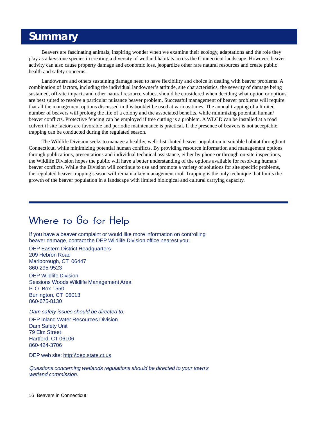#### **Summary**

Beavers are fascinating animals, inspiring wonder when we examine their ecology, adaptations and the role they play as a keystone species in creating a diversity of wetland habitats across the Connecticut landscape. However, beaver activity can also cause property damage and economic loss, jeopardize other rare natural resources and create public health and safety concerns.

Landowners and others sustaining damage need to have flexibility and choice in dealing with beaver problems. A combination of factors, including the individual landowner's attitude, site characteristics, the severity of damage being sustained, off-site impacts and other natural resource values, should be considered when deciding what option or options are best suited to resolve a particular nuisance beaver problem. Successful management of beaver problems will require that all the management options discussed in this booklet be used at various times. The annual trapping of a limited number of beavers will prolong the life of a colony and the associated benefits, while minimizing potential human/ beaver conflicts. Protective fencing can be employed if tree cutting is a problem. A WLCD can be installed at a road culvert if site factors are favorable and periodic maintenance is practical. If the presence of beavers is not acceptable, trapping can be conducted during the regulated season.

The Wildlife Division seeks to manage a healthy, well-distributed beaver population in suitable habitat throughout Connecticut, while minimizing potential human conflicts. By providing resource information and management options through publications, presentations and individual technical assistance, either by phone or through on-site inspections, the Wildlife Division hopes the public will have a better understanding of the options available for resolving human/ beaver conflicts. While the Division will continue to use and promote a variety of solutions for site specific problems, the regulated beaver trapping season will remain a key management tool. Trapping is the only technique that limits the growth of the beaver population in a landscape with limited biological and cultural carrying capacity.

#### Where to Go for Help

If you have a beaver complaint or would like more information on controlling beaver damage, contact the DEP Wildlife Division office nearest you:

DEP Eastern District Headquarters 209 Hebron Road Marlborough, CT 06447 860-295-9523

DEP Wildlife Division Sessions Woods Wildlife Management Area P. O. Box 1550 Burlington, CT 06013 860-675-8130

Dam safety issues should be directed to:

DEP Inland Water Resources Division Dam Safety Unit 79 Elm Street Hartford, CT 06106 860-424-3706

DEP web site: http:\\dep.state.ct.us

Questions concerning wetlands regulations should be directed to your town's wetland commission.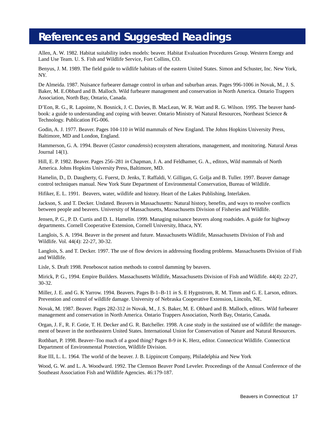#### **References and Suggested Readings**

Allen, A. W. 1982. Habitat suitability index models: beaver. Habitat Evaluation Procedures Group. Western Energy and Land Use Team. U. S. Fish and Wildlife Service, Fort Collins, CO.

Benyus, J. M. 1989. The field guide to wildlife habitats of the eastern United States. Simon and Schuster, Inc. New York, NY.

De Almeida. 1987. Nuisance furbearer damage control in urban and suburban areas. Pages 996-1006 *in* Novak, M., J. S. Baker, M. E.Obbard and B. Malloch. Wild furbearer management and conservation in North America. Ontario Trappers Association, North Bay, Ontario, Canada.

D'Eon, R. G., R. Lapointe, N. Bosnick, J. C. Davies, B. MacLean, W. R. Watt and R. G. Wilson. 1995. The beaver handbook: a guide to understanding and coping with beaver. Ontario Ministry of Natural Resources, Northeast Science & Technology. Publication FG-006.

Godin, A. J. 1977. Beaver. Pages 104-110 *in* Wild mammals of New England. The Johns Hopkins University Press, Baltimore, MD and London, England.

Hammerson, G. A. 1994. Beaver (*Castor canadensis*) ecosystem alterations, management, and monitoring. Natural Areas Journal 14(1).

Hill, E. P. 1982. Beaver. Pages 256–281 *in* Chapman, J. A. and Feldhamer, G. A., editors, Wild mammals of North America. Johns Hopkins University Press, Baltimore, MD.

Hamelin, D., D. Daugherty, G. Fuerst, D. Jenks, T. Raffaldi, V. Gilligan, G. Golja and B. Tuller. 1997. Beaver damage control techniques manual. New York State Department of Environmental Conservation, Bureau of Wildlife.

Hifiker, E. L. 1991. Beavers, water, wildlife and history. Heart of the Lakes Publishing, Interlaken.

Jackson, S. and T. Decker. Undated. Beavers in Massachusetts: Natural history, benefits, and ways to resolve conflicts between people and beavers. University of Massachusetts, Massachusetts Division of Fisheries and Wildlife.

Jensen, P. G., P. D. Curtis and D. L. Hamelin. 1999. Managing nuisance beavers along roadsides. A guide for highway departments. Cornell Cooperative Extension, Cornell University, Ithaca, NY.

Langlois, S. A. 1994. Beaver in the present and future. Massachusetts Wildlife, Massachusetts Division of Fish and Wildlife. Vol. 44(4): 22-27, 30-32.

Langlois, S. and T. Decker. 1997. The use of flow devices in addressing flooding problems. Massachusetts Division of Fish and Wildlife.

Lisle, S. Draft 1998. Peneboscot nation methods to control damming by beavers.

Mirick, P. G., 1994. Empire Builders. Massachusetts Wildlife, Massachusetts Division of Fish and Wildlife. 44(4): 22-27, 30-32.

Miller, J. E. and G. K Yarrow. 1994. Beavers. Pages B-1–B-11 *in* S. E Hygnstrom, R. M. Timm and G. E. Larson, editors. Prevention and control of wildlife damage. University of Nebraska Cooperative Extension, Lincoln, NE.

Novak, M. 1987. Beaver. Pages 282-312 *in* Novak, M., J. S. Baker, M. E. Obbard and B. Malloch, editors. Wild furbearer management and conservation in North America. Ontario Trappers Association, North Bay, Ontario, Canada.

Organ, J. F., R. F. Gotie, T. H. Decker and G. R. Batcheller. 1998. A case study in the sustained use of wildlife: the management of beaver in the northeastern United States. International Union for Conservation of Nature and Natural Resources.

Rothbart, P. 1998. Beaver–Too much of a good thing? Pages 8-9 *in* K. Herz, editor. Connecticut Wildlife. Connecticut Department of Environmental Protection, Wildlife Division.

Rue III, L. L. 1964. The world of the beaver. J. B. Lippincott Company, Philadelphia and New York

Wood, G. W. and L. A. Woodward. 1992. The Clemson Beaver Pond Leveler. Proceedings of the Annual Conference of the Southeast Association Fish and Wildlife Agencies. 46:179-187.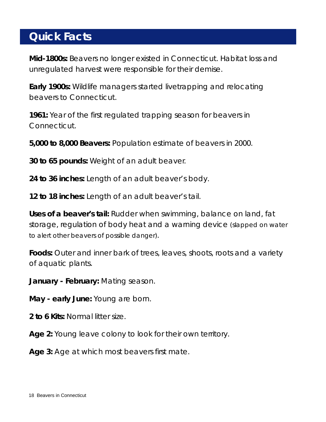# **Quick Facts**

**Mid-1800s:** Beavers no longer existed in Connecticut. Habitat loss and unregulated harvest were responsible for their demise.

**Early 1900s:** Wildlife managers started livetrapping and relocating beavers to Connecticut.

**1961:** Year of the first regulated trapping season for beavers in Connecticut.

**5,000 to 8,000 Beavers:** Population estimate of beavers in 2000.

**30 to 65 pounds:** Weight of an adult beaver.

**24 to 36 inches:** Length of an adult beaver's body.

**12 to 18 inches:** Length of an adult beaver's tail.

**Uses of a beaver's tail:** Rudder when swimming, balance on land, fat storage, regulation of body heat and a warning device (slapped on water to alert other beavers of possible danger).

Foods: Outer and inner bark of trees, leaves, shoots, roots and a variety of aquatic plants.

**January - February:** Mating season.

**May - early June:** Young are born.

**2 to 6 Kits:** Normal litter size.

**Age 2:** Young leave colony to look for their own territory.

**Age 3:** Age at which most beavers first mate.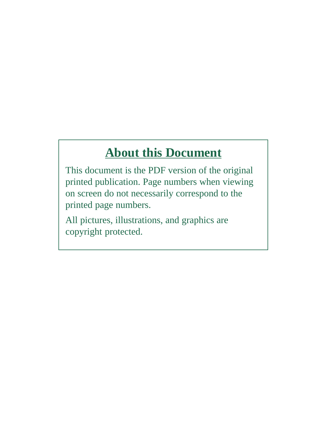# **About this Document**

This document is the PDF version of the original printed publication. Page numbers when viewing on screen do not necessarily correspond to the printed page numbers.

All pictures, illustrations, and graphics are copyright protected.